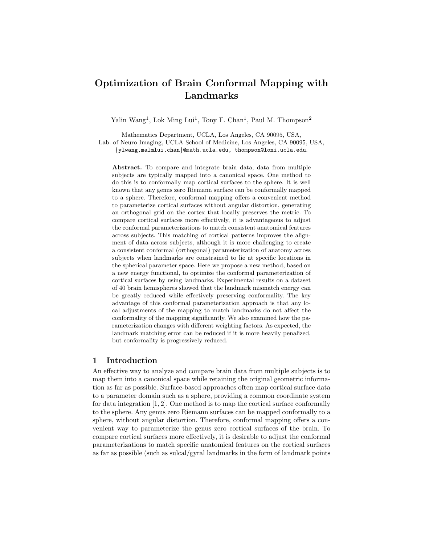# Optimization of Brain Conformal Mapping with Landmarks

Yalin Wang<sup>1</sup>, Lok Ming Lui<sup>1</sup>, Tony F. Chan<sup>1</sup>, Paul M. Thompson<sup>2</sup>

Mathematics Department, UCLA, Los Angeles, CA 90095, USA, Lab. of Neuro Imaging, UCLA School of Medicine, Los Angeles, CA 90095, USA, {ylwang,malmlui,chan}@math.ucla.edu, thompson@loni.ucla.edu.

Abstract. To compare and integrate brain data, data from multiple subjects are typically mapped into a canonical space. One method to do this is to conformally map cortical surfaces to the sphere. It is well known that any genus zero Riemann surface can be conformally mapped to a sphere. Therefore, conformal mapping offers a convenient method to parameterize cortical surfaces without angular distortion, generating an orthogonal grid on the cortex that locally preserves the metric. To compare cortical surfaces more effectively, it is advantageous to adjust the conformal parameterizations to match consistent anatomical features across subjects. This matching of cortical patterns improves the alignment of data across subjects, although it is more challenging to create a consistent conformal (orthogonal) parameterization of anatomy across subjects when landmarks are constrained to lie at specific locations in the spherical parameter space. Here we propose a new method, based on a new energy functional, to optimize the conformal parameterization of cortical surfaces by using landmarks. Experimental results on a dataset of 40 brain hemispheres showed that the landmark mismatch energy can be greatly reduced while effectively preserving conformality. The key advantage of this conformal parameterization approach is that any local adjustments of the mapping to match landmarks do not affect the conformality of the mapping significantly. We also examined how the parameterization changes with different weighting factors. As expected, the landmark matching error can be reduced if it is more heavily penalized, but conformality is progressively reduced.

## 1 Introduction

An effective way to analyze and compare brain data from multiple subjects is to map them into a canonical space while retaining the original geometric information as far as possible. Surface-based approaches often map cortical surface data to a parameter domain such as a sphere, providing a common coordinate system for data integration [1, 2]. One method is to map the cortical surface conformally to the sphere. Any genus zero Riemann surfaces can be mapped conformally to a sphere, without angular distortion. Therefore, conformal mapping offers a convenient way to parameterize the genus zero cortical surfaces of the brain. To compare cortical surfaces more effectively, it is desirable to adjust the conformal parameterizations to match specific anatomical features on the cortical surfaces as far as possible (such as sulcal/gyral landmarks in the form of landmark points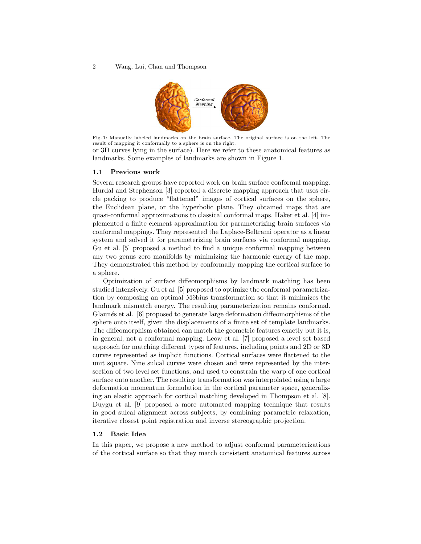

Fig. 1: Manually labeled landmarks on the brain surface. The original surface is on the left. The result of mapping it conformally to a sphere is on the right. or 3D curves lying in the surface). Here we refer to these anatomical features as

landmarks. Some examples of landmarks are shown in Figure 1.

#### 1.1 Previous work

Several research groups have reported work on brain surface conformal mapping. Hurdal and Stephenson [3] reported a discrete mapping approach that uses circle packing to produce "flattened" images of cortical surfaces on the sphere, the Euclidean plane, or the hyperbolic plane. They obtained maps that are quasi-conformal approximations to classical conformal maps. Haker et al. [4] implemented a finite element approximation for parameterizing brain surfaces via conformal mappings. They represented the Laplace-Beltrami operator as a linear system and solved it for parameterizing brain surfaces via conformal mapping. Gu et al. [5] proposed a method to find a unique conformal mapping between any two genus zero manifolds by minimizing the harmonic energy of the map. They demonstrated this method by conformally mapping the cortical surface to a sphere.

Optimization of surface diffeomorphisms by landmark matching has been studied intensively. Gu et al. [5] proposed to optimize the conformal parametrization by composing an optimal Möbius transformation so that it minimizes the landmark mismatch energy. The resulting parameterization remains conformal. Glaunés et al. [6] proposed to generate large deformation diffeomorphisms of the sphere onto itself, given the displacements of a finite set of template landmarks. The diffeomorphism obtained can match the geometric features exactly but it is, in general, not a conformal mapping. Leow et al. [7] proposed a level set based approach for matching different types of features, including points and 2D or 3D curves represented as implicit functions. Cortical surfaces were flattened to the unit square. Nine sulcal curves were chosen and were represented by the intersection of two level set functions, and used to constrain the warp of one cortical surface onto another. The resulting transformation was interpolated using a large deformation momentum formulation in the cortical parameter space, generalizing an elastic approach for cortical matching developed in Thompson et al. [8]. Duygu et al. [9] proposed a more automated mapping technique that results in good sulcal alignment across subjects, by combining parametric relaxation, iterative closest point registration and inverse stereographic projection.

### 1.2 Basic Idea

In this paper, we propose a new method to adjust conformal parameterizations of the cortical surface so that they match consistent anatomical features across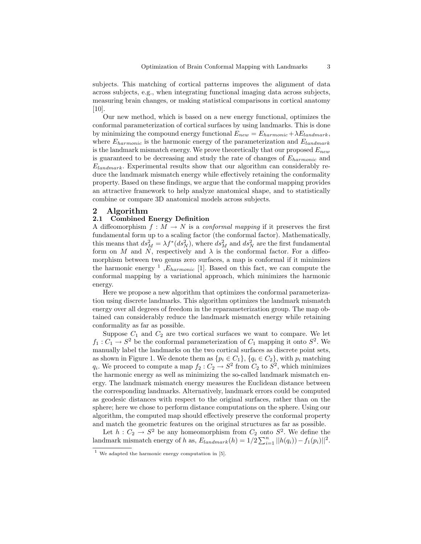subjects. This matching of cortical patterns improves the alignment of data across subjects, e.g., when integrating functional imaging data across subjects, measuring brain changes, or making statistical comparisons in cortical anatomy [10].

Our new method, which is based on a new energy functional, optimizes the conformal parameterization of cortical surfaces by using landmarks. This is done by minimizing the compound energy functional  $E_{new} = E_{harmonic} + \lambda E_{landmark}$ , where  $E_{harmonic}$  is the harmonic energy of the parameterization and  $E_{landmark}$ is the landmark mismatch energy. We prove theoretically that our proposed  $E_{new}$ is guaranteed to be decreasing and study the rate of changes of  $E_{harmonic}$  and  $E_{landmark}$ . Experimental results show that our algorithm can considerably reduce the landmark mismatch energy while effectively retaining the conformality property. Based on these findings, we argue that the conformal mapping provides an attractive framework to help analyze anatomical shape, and to statistically combine or compare 3D anatomical models across subjects.

# 2 Algorithm

## 2.1 Combined Energy Definition

A diffeomorphism  $f : M \to N$  is a *conformal mapping* if it preserves the first fundamental form up to a scaling factor (the conformal factor). Mathematically, this means that  $ds_M^2 = \lambda f^*(ds_N^2)$ , where  $ds_M^2$  and  $ds_N^2$  are the first fundamental form on M and N, respectively and  $\lambda$  is the conformal factor. For a diffeomorphism between two genus zero surfaces, a map is conformal if it minimizes the harmonic energy <sup>1</sup>,  $E_{harmonic}$  [1]. Based on this fact, we can compute the conformal mapping by a variational approach, which minimizes the harmonic energy.

Here we propose a new algorithm that optimizes the conformal parameterization using discrete landmarks. This algorithm optimizes the landmark mismatch energy over all degrees of freedom in the reparameterization group. The map obtained can considerably reduce the landmark mismatch energy while retaining conformality as far as possible.

Suppose  $C_1$  and  $C_2$  are two cortical surfaces we want to compare. We let  $f_1: C_1 \to S^2$  be the conformal parameterization of  $C_1$  mapping it onto  $S^2$ . We manually label the landmarks on the two cortical surfaces as discrete point sets, as shown in Figure 1. We denote them as  $\{p_i \in C_1\}$ ,  $\{q_i \in C_2\}$ , with  $p_i$  matching  $q_i$ . We proceed to compute a map  $f_2: C_2 \to S^2$  from  $C_2$  to  $S^2$ , which minimizes the harmonic energy as well as minimizing the so-called landmark mismatch energy. The landmark mismatch energy measures the Euclidean distance between the corresponding landmarks. Alternatively, landmark errors could be computed as geodesic distances with respect to the original surfaces, rather than on the sphere; here we chose to perform distance computations on the sphere. Using our algorithm, the computed map should effectively preserve the conformal property and match the geometric features on the original structures as far as possible.

Let  $h: C_2 \to S^2$  be any homeomorphism from  $C_2$  onto  $S^2$ . We define the Let  $h: C_2 \to S$  be any nomeomorphism from  $C_2$  onto  $S$ . We define the landmark mismatch energy of h as,  $E_{landmark}(h) = 1/2 \sum_{i=1}^{n} ||h(q_i)) - f_1(p_i)||^2$ .

 $1$  We adapted the harmonic energy computation in [5].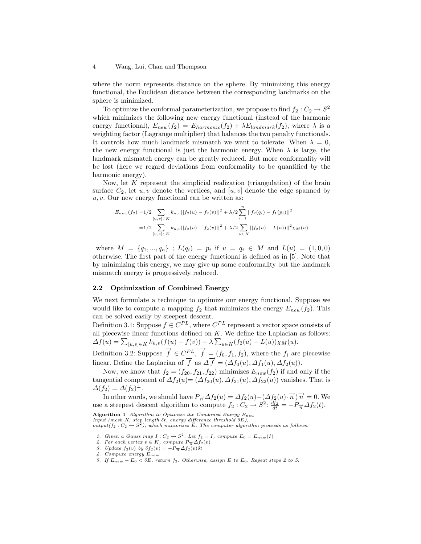where the norm represents distance on the sphere. By minimizing this energy functional, the Euclidean distance between the corresponding landmarks on the sphere is minimized.

To optimize the conformal parameterization, we propose to find  $f_2: C_2 \to S^2$ which minimizes the following new energy functional (instead of the harmonic energy functional),  $E_{new}(f_2) = E_{harmonic}(f_2) + \lambda E_{landmark}(f_2)$ , where  $\lambda$  is a weighting factor (Lagrange multiplier) that balances the two penalty functionals. It controls how much landmark mismatch we want to tolerate. When  $\lambda = 0$ , the new energy functional is just the harmonic energy. When  $\lambda$  is large, the landmark mismatch energy can be greatly reduced. But more conformality will be lost (here we regard deviations from conformality to be quantified by the harmonic energy).

Now, let  $K$  represent the simplicial realization (triangulation) of the brain surface  $C_2$ , let  $u, v$  denote the vertices, and  $[u, v]$  denote the edge spanned by  $u, v$ . Our new energy functional can be written as:

$$
E_{new}(f_2) = 1/2 \sum_{[u,v]\in K} k_{u,v} ||f_2(u) - f_2(v)||^2 + \lambda/2 \sum_{i=1}^n ||f_2(q_i) - f_1(p_i)||^2
$$
  
=1/2 
$$
\sum_{[u,v]\in K} k_{u,v} ||f_2(u) - f_2(v)||^2 + \lambda/2 \sum_{u\in K} ||f_2(u) - L(u)||^2 \chi_M(u)
$$

where  $M = \{q_1, ..., q_n\}$ ;  $L(q_i) = p_i$  if  $u = q_i \in M$  and  $L(u) = (1, 0, 0)$ otherwise. The first part of the energy functional is defined as in [5]. Note that by minimizing this energy, we may give up some conformality but the landmark mismatch energy is progressively reduced.

#### 2.2 Optimization of Combined Energy

We next formulate a technique to optimize our energy functional. Suppose we would like to compute a mapping  $f_2$  that minimizes the energy  $E_{new}(f_2)$ . This can be solved easily by steepest descent.

Definition 3.1: Suppose  $f \in C^{PL}$ , where  $C^{PL}$  represent a vector space consists of all piecewise linear functions defined on K. We define the Laplacian as follows: all piecewise linear functions defined on  $\Lambda$ . We define the Laplacian  $\Delta f(u) = \sum_{[u,v]\in K} k_{u,v}(f(u) - f(v)) + \lambda \sum_{u\in K} (f_2(u) - L(u)) \chi_M(u)$ .

Definition 3.2: Suppose  $\overrightarrow{f} \in C^{PL}$ ,  $\overrightarrow{f} = (f_0, f_1, f_2)$ , where the  $f_i$  are piecewise Linear. Define the Laplacian of  $\overrightarrow{f}$  as  $\Delta \overrightarrow{f} = (\Delta f_0(u), \Delta f_1(u), \Delta f_2(u)).$ 

Now, we know that  $f_2 = (f_{20}, f_{21}, f_{22})$  minimizes  $E_{new}(f_2)$  if and only if the tangential component of  $\Delta f_2(u) = (\Delta f_{20}(u), \Delta f_{21}(u), \Delta f_{22}(u))$  vanishes. That is  $\Delta(f_2) = \Delta(f_2)^{\perp}.$ 

In other words, we should have  $P_{\overrightarrow{n}} \Delta f_2(u) = \Delta f_2(u) - (\Delta f_2(u) \cdot \overrightarrow{n}) \overrightarrow{n} = 0$ . We use a steepest descent algorithm to compute  $f_2: C_2 \to S^2$ :  $\frac{df_2}{dt} = -P_{\overrightarrow{n}} \Delta f_2(t)$ .

3. Update  $f_2(v)$  by  $\delta f_2(v) = -P_{\overrightarrow{n}} \Delta f_2(v) \delta t$ 

5. If  $E_{new} - E_0 < \delta E$ , return f<sub>2</sub>. Otherwise, assign E to E<sub>0</sub>. Repeat steps 2 to 5.

**Algorithm 1** Algorithm to Optimize the Combined Energy  $E_{new}$ <br>Input (mesh K, step length  $\delta t$ , energy difference threshold  $\delta E$ ),<br>output(f<sub>2</sub> :  $C_2 \rightarrow S^2$ ), which minimizes E. The computer algorithm proceeds as follows

<sup>1.</sup> Given a Gauss map  $I: C_2 \to S^2$ . Let  $f_2 = I$ , compute  $E_0 = E_{new}(I)$ 

<sup>2.</sup> For each vertex  $v \in K$ , compute  $P_{\overrightarrow{n}} \Delta f_2(v)$ 

<sup>4.</sup> Compute energy  $E_{new}$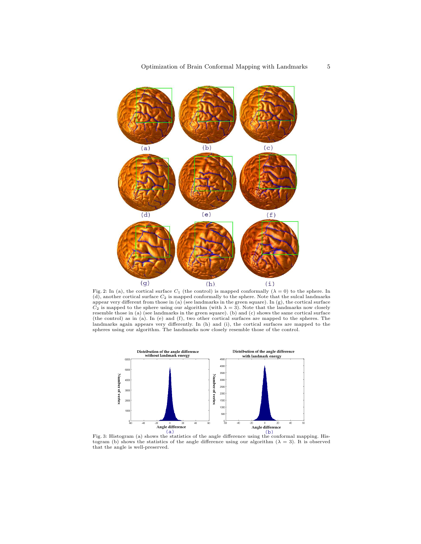

Fig. 2: In (a), the cortical surface  $C_1$  (the control) is mapped conformally  $(\lambda = 0)$  to the sphere. In  $(d)$ , another cortical surface  $C_2$  is mapped conformally to the sphere. Note that the sulcal landmarks appear very different from those in (a) (see landmarks in the green square). In (g), the cortical surface  $\overline{C_2}$  is mapped to the sphere using our algorithm (with  $\lambda = 3$ ). Note that the landmarks now closely resemble those in (a) (see landmarks in the green square). (b) and (c) shows the same cortical surface (the control) as in (a). In (e) and (f), two other cortical surfaces are mapped to the spheres. The landmarks again appears very differently. In (h) and (i), the cortical surfaces are mapped to the spheres using our algorithm. The landmarks now closely resemble those of the control.



Fig. 3: Histogram (a) shows the statistics of the angle difference using the conformal mapping. Histogram (b) shows the statistics of the angle difference using our algorithm ( $\lambda = 3$ ). It is observed that the angle is well-preserved.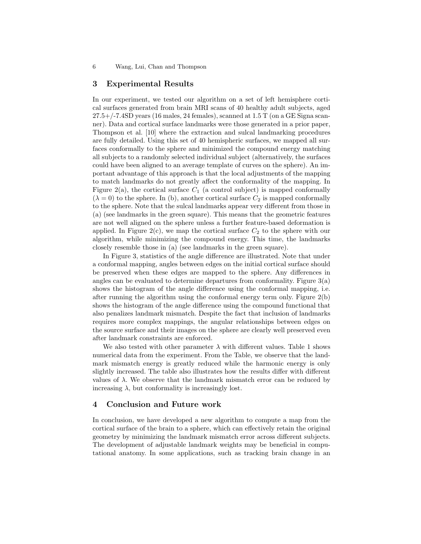## 3 Experimental Results

In our experiment, we tested our algorithm on a set of left hemisphere cortical surfaces generated from brain MRI scans of 40 healthy adult subjects, aged  $27.5+/-7.4SD$  years (16 males, 24 females), scanned at 1.5 T (on a GE Signa scanner). Data and cortical surface landmarks were those generated in a prior paper, Thompson et al. [10] where the extraction and sulcal landmarking procedures are fully detailed. Using this set of 40 hemispheric surfaces, we mapped all surfaces conformally to the sphere and minimized the compound energy matching all subjects to a randomly selected individual subject (alternatively, the surfaces could have been aligned to an average template of curves on the sphere). An important advantage of this approach is that the local adjustments of the mapping to match landmarks do not greatly affect the conformality of the mapping. In Figure 2(a), the cortical surface  $C_1$  (a control subject) is mapped conformally  $(\lambda = 0)$  to the sphere. In (b), another cortical surface  $C_2$  is mapped conformally to the sphere. Note that the sulcal landmarks appear very different from those in (a) (see landmarks in the green square). This means that the geometric features are not well aligned on the sphere unless a further feature-based deformation is applied. In Figure 2(c), we map the cortical surface  $C_2$  to the sphere with our algorithm, while minimizing the compound energy. This time, the landmarks closely resemble those in (a) (see landmarks in the green square).

In Figure 3, statistics of the angle difference are illustrated. Note that under a conformal mapping, angles between edges on the initial cortical surface should be preserved when these edges are mapped to the sphere. Any differences in angles can be evaluated to determine departures from conformality. Figure  $3(a)$ shows the histogram of the angle difference using the conformal mapping, i.e. after running the algorithm using the conformal energy term only. Figure  $2(b)$ shows the histogram of the angle difference using the compound functional that also penalizes landmark mismatch. Despite the fact that inclusion of landmarks requires more complex mappings, the angular relationships between edges on the source surface and their images on the sphere are clearly well preserved even after landmark constraints are enforced.

We also tested with other parameter  $\lambda$  with different values. Table 1 shows numerical data from the experiment. From the Table, we observe that the landmark mismatch energy is greatly reduced while the harmonic energy is only slightly increased. The table also illustrates how the results differ with different values of  $\lambda$ . We observe that the landmark mismatch error can be reduced by increasing  $\lambda$ , but conformality is increasingly lost.

## 4 Conclusion and Future work

In conclusion, we have developed a new algorithm to compute a map from the cortical surface of the brain to a sphere, which can effectively retain the original geometry by minimizing the landmark mismatch error across different subjects. The development of adjustable landmark weights may be beneficial in computational anatomy. In some applications, such as tracking brain change in an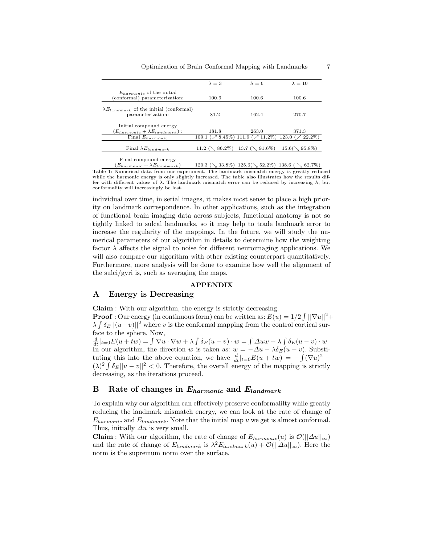|                                                   | $\lambda=3$               | $\lambda = 6$                                                           | $\lambda = 10$      |
|---------------------------------------------------|---------------------------|-------------------------------------------------------------------------|---------------------|
| $E_{harmonic}$ of the initial                     |                           |                                                                         |                     |
| (conformal) parameterization:                     | 100.6                     | 100.6                                                                   | 100.6               |
|                                                   |                           |                                                                         |                     |
| $\lambda E_{landmark}$ of the initial (conformal) |                           |                                                                         |                     |
| parameterization:                                 | 81.2                      | 162.4                                                                   | 270.7               |
|                                                   |                           |                                                                         |                     |
| Initial compound energy                           |                           |                                                                         |                     |
| $E_{harmonic} + \lambda E_{landmark})$ :          | 181.8                     | 263.0                                                                   | 371.3               |
| Final $E_{harmonic}$                              |                           | 109.1 ( $\angle$ 8.45%) 111.9 ( $\angle$ 11.2%) 123.0 ( $\angle$ 22.2%) |                     |
|                                                   |                           |                                                                         |                     |
| Final $\lambda E_{landmark}$                      | 11.2 $(\diagdown 86.2\%)$ | 13.7 ( $\setminus$ 91.6%)                                               | $15.6(\sim 95.8\%)$ |
| Final compound energy                             |                           |                                                                         |                     |

 $(E_{harmonic} + \lambda E_{landmark})$  120.3 ( $\searrow$  33.8%) 125.6( $\searrow$  52.2%) 138.6 ( $\searrow$  62.7%) Table 1: Numerical data from our experiment. The landmark mismatch energy is greatly reduced while the harmonic energy is only slightly increased. The table also illustrates how the results differ with different values of  $\lambda$ . The landmark mismatch error can be reduced by increasing  $\lambda$ , but conformality will increasingly be lost.

individual over time, in serial images, it makes most sense to place a high priority on landmark correspondence. In other applications, such as the integration of functional brain imaging data across subjects, functional anatomy is not so tightly linked to sulcal landmarks, so it may help to trade landmark error to increase the regularity of the mappings. In the future, we will study the numerical parameters of our algorithm in details to determine how the weighting factor  $\lambda$  affects the signal to noise for different neuroimaging applications. We will also compare our algorithm with other existing counterpart quantitatively. Furthermore, more analysis will be done to examine how well the alignment of the sulci/gyri is, such as averaging the maps.

#### APPENDIX

# A Energy is Decreasing

Claim : With our algorithm, the energy is strictly decreasing.

**Proof** : Our energy (in continuous form) can be written as:  $E(u) = 1/2$ **REDUALE:** With our algorithm, the energy is strictly decreasing.<br> **roof** : Our energy (in continuous form) can be written as:  $E(u) = 1/2 \int ||\nabla u||^2 +$  $\lambda \int \delta_E ||(u-v)||^2$  where v is the conformal mapping from the control cortical surface to the sphere. Now, R R R

face to the sphere. Now,<br>  $\frac{d}{dt}|_{t=0} E(u+tw) = \int \nabla u \cdot \nabla w + \lambda$  $\delta_E(u-v)\cdot w=$  $\Delta uw + \lambda$  $\delta_E(u-v)\cdot w$ In our algorithm, the direction w is taken as:  $w = -\Delta u - \lambda \delta_E(u - v)$ . Substituting this into the above equation, we have  $\frac{d}{dt}|_{t=0} E(u+tw) = -\int (\nabla u)^2$ .  $(\lambda)^2 \int \delta_E ||u - v||^2 < 0$ . Therefore, the overall energy of the mapping is strictly decreasing, as the iterations proceed.

## B Rate of changes in  $E_{harmonic}$  and  $E_{landmark}$

To explain why our algorithm can effectively preserve conformalilty while greatly reducing the landmark mismatch energy, we can look at the rate of change of  $E_{harmonic}$  and  $E_{landmark}$ . Note that the initial map u we get is almost conformal. Thus, initially  $\Delta u$  is very small.

**Claim** : With our algorithm, the rate of change of  $E_{harmonic}(u)$  is  $\mathcal{O}(|\Delta u|_{\infty})$ and the rate of change of  $E_{landmark}$  is  $\lambda^2 E_{landmark}(u) + \mathcal{O}(|\Delta u||_{\infty})$ . Here the norm is the supremum norm over the surface.